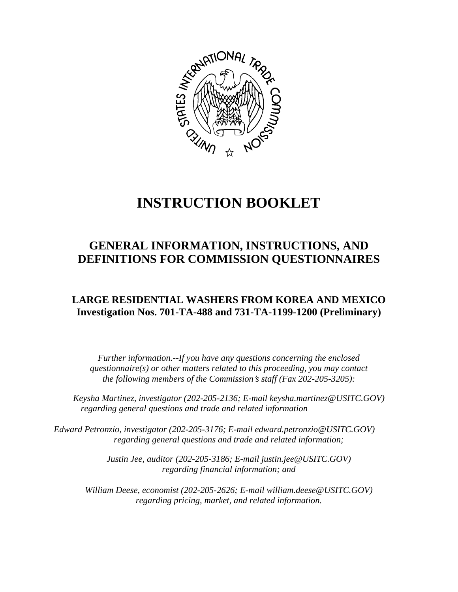

# **INSTRUCTION BOOKLET**

## **GENERAL INFORMATION, INSTRUCTIONS, AND DEFINITIONS FOR COMMISSION QUESTIONNAIRES**

### **LARGE RESIDENTIAL WASHERS FROM KOREA AND MEXICO Investigation Nos. 701-TA-488 and 731-TA-1199-1200 (Preliminary)**

*Further information.--If you have any questions concerning the enclosed questionnaire(s) or other matters related to this proceeding, you may contact the following members of the Commission's staff (Fax 202-205-3205):* 

 *Keysha Martinez, investigator (202-205-2136; E-mail keysha.martinez@USITC.GOV) regarding general questions and trade and related information* 

*Edward Petronzio, investigator (202-205-3176; E-mail edward.petronzio@USITC.GOV) regarding general questions and trade and related information;* 

> *Justin Jee, auditor (202-205-3186; E-mail justin.jee@USITC.GOV) regarding financial information; and*

 *William Deese, economist (202-205-2626; E-mail william.deese@USITC.GOV) regarding pricing, market, and related information.*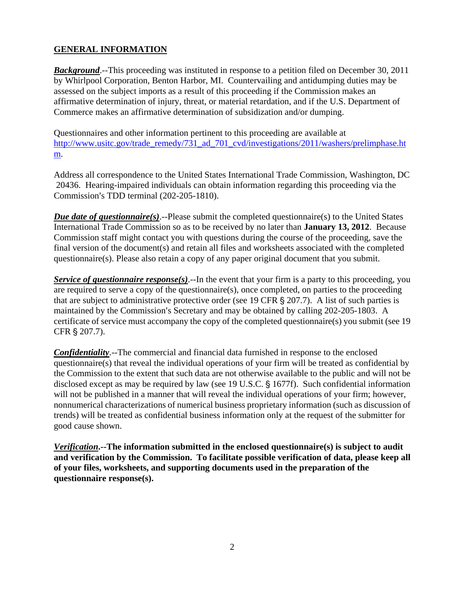#### **GENERAL INFORMATION**

**Background.**--This proceeding was instituted in response to a petition filed on December 30, 2011 by Whirlpool Corporation, Benton Harbor, MI. Countervailing and antidumping duties may be assessed on the subject imports as a result of this proceeding if the Commission makes an affirmative determination of injury, threat, or material retardation, and if the U.S. Department of Commerce makes an affirmative determination of subsidization and/or dumping.

Questionnaires and other information pertinent to this proceeding are available at http://www.usitc.gov/trade\_remedy/731\_ad\_701\_cvd/investigations/2011/washers/prelimphase.ht m.

Address all correspondence to the United States International Trade Commission, Washington, DC 20436. Hearing-impaired individuals can obtain information regarding this proceeding via the Commission's TDD terminal (202-205-1810).

*Due date of questionnaire(s)*.--Please submit the completed questionnaire(s) to the United States International Trade Commission so as to be received by no later than **January 13, 2012**. Because Commission staff might contact you with questions during the course of the proceeding, save the final version of the document(s) and retain all files and worksheets associated with the completed questionnaire(s). Please also retain a copy of any paper original document that you submit.

*Service of questionnaire response(s)*.--In the event that your firm is a party to this proceeding, you are required to serve a copy of the questionnaire(s), once completed, on parties to the proceeding that are subject to administrative protective order (see 19 CFR  $\S 207.7$ ). A list of such parties is maintained by the Commission's Secretary and may be obtained by calling 202-205-1803. A certificate of service must accompany the copy of the completed questionnaire(s) you submit (see 19 CFR § 207.7).

*Confidentiality*.--The commercial and financial data furnished in response to the enclosed questionnaire(s) that reveal the individual operations of your firm will be treated as confidential by the Commission to the extent that such data are not otherwise available to the public and will not be disclosed except as may be required by law (see  $19$  U.S.C.  $\S$  1677f). Such confidential information will not be published in a manner that will reveal the individual operations of your firm; however, nonnumerical characterizations of numerical business proprietary information (such as discussion of trends) will be treated as confidential business information only at the request of the submitter for good cause shown.

*Verification***.--The information submitted in the enclosed questionnaire(s) is subject to audit and verification by the Commission. To facilitate possible verification of data, please keep all of your files, worksheets, and supporting documents used in the preparation of the questionnaire response(s).**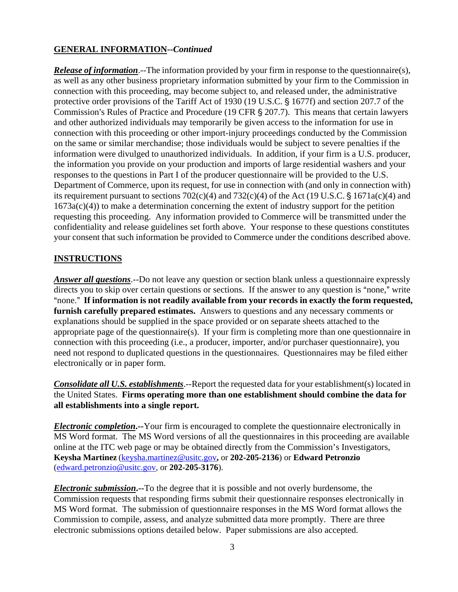#### **GENERAL INFORMATION--***Continued*

*Release of information*.--The information provided by your firm in response to the questionnaire(s), as well as any other business proprietary information submitted by your firm to the Commission in connection with this proceeding, may become subject to, and released under, the administrative protective order provisions of the Tariff Act of 1930 (19 U.S.C. § 1677f) and section 207.7 of the Commission's Rules of Practice and Procedure (19 CFR § 207.7). This means that certain lawyers and other authorized individuals may temporarily be given access to the information for use in connection with this proceeding or other import-injury proceedings conducted by the Commission on the same or similar merchandise; those individuals would be subject to severe penalties if the information were divulged to unauthorized individuals. In addition, if your firm is a U.S. producer, the information you provide on your production and imports of large residential washers and your responses to the questions in Part I of the producer questionnaire will be provided to the U.S. Department of Commerce, upon its request, for use in connection with (and only in connection with) its requirement pursuant to sections  $702(c)(4)$  and  $732(c)(4)$  of the Act (19 U.S.C. § 1671a(c)(4) and  $1673a(c)(4)$ ) to make a determination concerning the extent of industry support for the petition requesting this proceeding. Any information provided to Commerce will be transmitted under the confidentiality and release guidelines set forth above. Your response to these questions constitutes your consent that such information be provided to Commerce under the conditions described above.

#### **INSTRUCTIONS**

*Answer all questions*.--Do not leave any question or section blank unless a questionnaire expressly directs you to skip over certain questions or sections. If the answer to any question is "none," write "none." If information is not readily available from your records in exactly the form requested, **furnish carefully prepared estimates.** Answers to questions and any necessary comments or explanations should be supplied in the space provided or on separate sheets attached to the appropriate page of the questionnaire(s). If your firm is completing more than one questionnaire in connection with this proceeding (i.e., a producer, importer, and/or purchaser questionnaire), you need not respond to duplicated questions in the questionnaires. Questionnaires may be filed either electronically or in paper form.

*Consolidate all U.S. establishments*.--Report the requested data for your establishment(s) located in the United States. **Firms operating more than one establishment should combine the data for all establishments into a single report.**

*Electronic completion***.--**Your firm is encouraged to complete the questionnaire electronically in MS Word format. The MS Word versions of all the questionnaires in this proceeding are available online at the ITC web page or may be obtained directly from the Commission's Investigators, **Keysha Martinez** (keysha.martinez@usitc.gov**,** or **202-205-2136**) or **Edward Petronzio** (edward.petronzio@usitc.gov, or **202-205-3176**).

*Electronic submission***.--**To the degree that it is possible and not overly burdensome, the Commission requests that responding firms submit their questionnaire responses electronically in MS Word format. The submission of questionnaire responses in the MS Word format allows the Commission to compile, assess, and analyze submitted data more promptly. There are three electronic submissions options detailed below. Paper submissions are also accepted.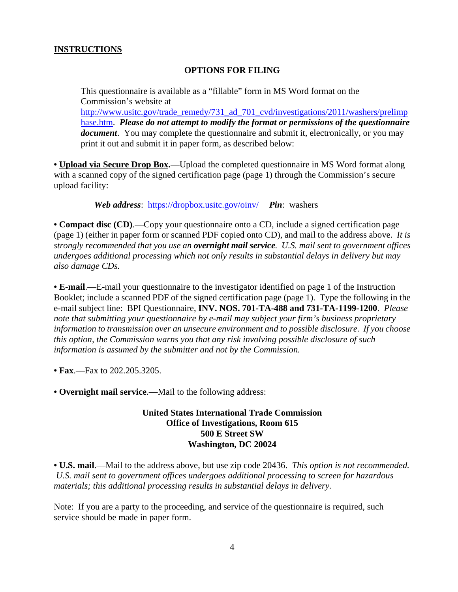#### **INSTRUCTIONS**

#### **OPTIONS FOR FILING**

This questionnaire is available as a "fillable" form in MS Word format on the Commission's website at http://www.usitc.gov/trade\_remedy/731\_ad\_701\_cvd/investigations/2011/washers/prelimp hase.htm. *Please do not attempt to modify the format or permissions of the questionnaire document*. You may complete the questionnaire and submit it, electronically, or you may print it out and submit it in paper form, as described below:

**• Upload via Secure Drop Box.**—Upload the completed questionnaire in MS Word format along with a scanned copy of the signed certification page (page 1) through the Commission's secure upload facility:

*Web address*: https://dropbox.usitc.gov/oinv/ *Pin*: washers

**• Compact disc (CD)**.—Copy your questionnaire onto a CD, include a signed certification page (page 1) (either in paper form or scanned PDF copied onto CD), and mail to the address above. *It is strongly recommended that you use an overnight mail service. U.S. mail sent to government offices undergoes additional processing which not only results in substantial delays in delivery but may also damage CDs.* 

**• E-mail**.—E-mail your questionnaire to the investigator identified on page 1 of the Instruction Booklet; include a scanned PDF of the signed certification page (page 1). Type the following in the e-mail subject line: BPI Questionnaire, **INV. NOS. 701-TA-488 and 731-TA-1199-1200**. *Please note that submitting your questionnaire by e-mail may subject your firm's business proprietary information to transmission over an unsecure environment and to possible disclosure. If you choose this option, the Commission warns you that any risk involving possible disclosure of such information is assumed by the submitter and not by the Commission.* 

**• Fax**.—Fax to 202.205.3205.

**• Overnight mail service**.—Mail to the following address:

#### **United States International Trade Commission Office of Investigations, Room 615 500 E Street SW Washington, DC 20024**

**• U.S. mail**.—Mail to the address above, but use zip code 20436. *This option is not recommended. U.S. mail sent to government offices undergoes additional processing to screen for hazardous materials; this additional processing results in substantial delays in delivery.* 

Note: If you are a party to the proceeding, and service of the questionnaire is required, such service should be made in paper form.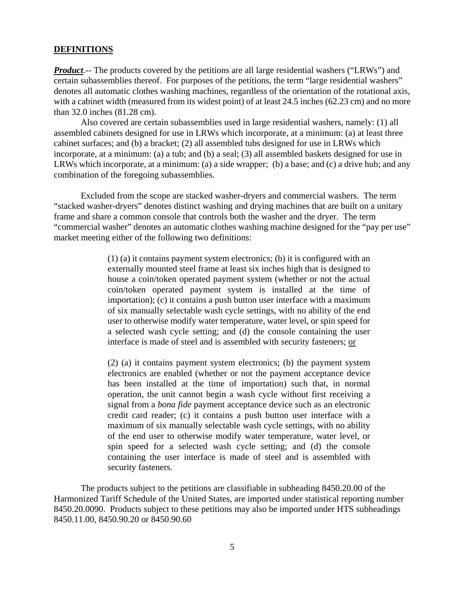#### **DEFINITIONS**

*Product*.-- The products covered by the petitions are all large residential washers ("LRWs") and certain subassemblies thereof. For purposes of the petitions, the term "large residential washers" denotes all automatic clothes washing machines, regardless of the orientation of the rotational axis, with a cabinet width (measured from its widest point) of at least 24.5 inches (62.23 cm) and no more than 32.0 inches (81.28 cm).

Also covered are certain subassemblies used in large residential washers, namely: (1) all assembled cabinets designed for use in LRWs which incorporate, at a minimum: (a) at least three cabinet surfaces; and (b) a bracket; (2) all assembled tubs designed for use in LRWs which incorporate, at a minimum: (a) a tub; and (b) a seal; (3) all assembled baskets designed for use in LRWs which incorporate, at a minimum: (a) a side wrapper; (b) a base; and (c) a drive hub; and any combination of the foregoing subassemblies.

Excluded from the scope are stacked washer-dryers and commercial washers. The term "stacked washer-dryers" denotes distinct washing and drying machines that are built on a unitary frame and share a common console that controls both the washer and the dryer. The term "commercial washer" denotes an automatic clothes washing machine designed for the "pay per use" market meeting either of the following two definitions:

> (1) (a) it contains payment system electronics; (b) it is configured with an externally mounted steel frame at least six inches high that is designed to house a coin/token operated payment system (whether or not the actual coin/token operated payment system is installed at the time of importation); (c) it contains a push button user interface with a maximum of six manually selectable wash cycle settings, with no ability of the end user to otherwise modify water temperature, water level, or spin speed for a selected wash cycle setting; and (d) the console containing the user interface is made of steel and is assembled with security fasteners; or

> (2) (a) it contains payment system electronics; (b) the payment system electronics are enabled (whether or not the payment acceptance device has been installed at the time of importation) such that, in normal operation, the unit cannot begin a wash cycle without first receiving a signal from a *bona fide* payment acceptance device such as an electronic credit card reader; (c) it contains a push button user interface with a maximum of six manually selectable wash cycle settings, with no ability of the end user to otherwise modify water temperature, water level, or spin speed for a selected wash cycle setting; and (d) the console containing the user interface is made of steel and is assembled with security fasteners.

 The products subject to the petitions are classifiable in subheading 8450.20.00 of the Harmonized Tariff Schedule of the United States, are imported under statistical reporting number 8450.20.0090. Products subject to these petitions may also be imported under HTS subheadings 8450.11.00, 8450.90.20 or 8450.90.60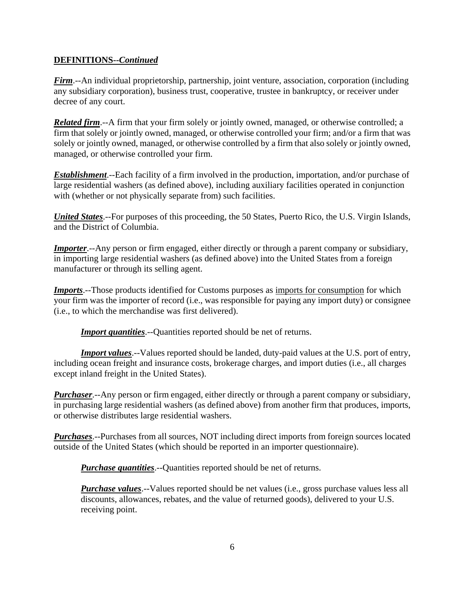#### **DEFINITIONS--***Continued*

*Firm*.--An individual proprietorship, partnership, joint venture, association, corporation (including any subsidiary corporation), business trust, cooperative, trustee in bankruptcy, or receiver under decree of any court.

*Related firm*.--A firm that your firm solely or jointly owned, managed, or otherwise controlled; a firm that solely or jointly owned, managed, or otherwise controlled your firm; and/or a firm that was solely or jointly owned, managed, or otherwise controlled by a firm that also solely or jointly owned, managed, or otherwise controlled your firm.

*Establishment*.--Each facility of a firm involved in the production, importation, and/or purchase of large residential washers (as defined above), including auxiliary facilities operated in conjunction with (whether or not physically separate from) such facilities.

*United States*.--For purposes of this proceeding, the 50 States, Puerto Rico, the U.S. Virgin Islands, and the District of Columbia.

*Importer*.--Any person or firm engaged, either directly or through a parent company or subsidiary, in importing large residential washers (as defined above) into the United States from a foreign manufacturer or through its selling agent.

*Imports*.--Those products identified for Customs purposes as imports for consumption for which your firm was the importer of record (i.e., was responsible for paying any import duty) or consignee (i.e., to which the merchandise was first delivered).

*Import quantities*.--Quantities reported should be net of returns.

*Import values*.--Values reported should be landed, duty-paid values at the U.S. port of entry, including ocean freight and insurance costs, brokerage charges, and import duties (i.e., all charges except inland freight in the United States).

*Purchaser*.--Any person or firm engaged, either directly or through a parent company or subsidiary, in purchasing large residential washers (as defined above) from another firm that produces, imports, or otherwise distributes large residential washers.

*Purchases*.--Purchases from all sources, NOT including direct imports from foreign sources located outside of the United States (which should be reported in an importer questionnaire).

*Purchase quantities*.--Quantities reported should be net of returns.

*Purchase values*.--Values reported should be net values (i.e., gross purchase values less all discounts, allowances, rebates, and the value of returned goods), delivered to your U.S. receiving point.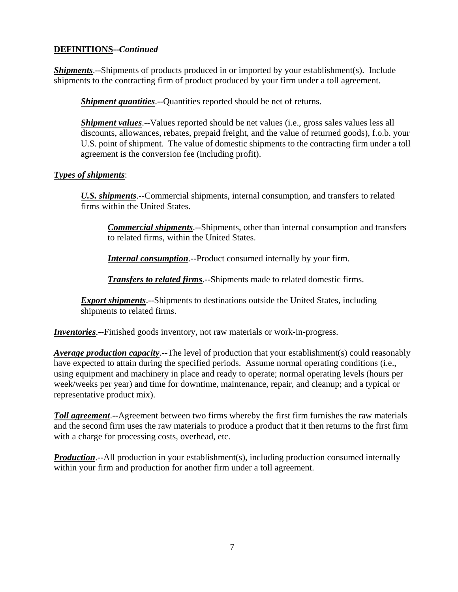#### **DEFINITIONS--***Continued*

*Shipments*.--Shipments of products produced in or imported by your establishment(s). Include shipments to the contracting firm of product produced by your firm under a toll agreement.

*Shipment quantities*.--Quantities reported should be net of returns.

*Shipment values*.--Values reported should be net values (i.e., gross sales values less all discounts, allowances, rebates, prepaid freight, and the value of returned goods), f.o.b. your U.S. point of shipment. The value of domestic shipments to the contracting firm under a toll agreement is the conversion fee (including profit).

#### *Types of shipments*:

*U.S. shipments*.--Commercial shipments, internal consumption, and transfers to related firms within the United States.

*Commercial shipments*.--Shipments, other than internal consumption and transfers to related firms, within the United States.

*Internal consumption*.--Product consumed internally by your firm.

*Transfers to related firms*.--Shipments made to related domestic firms.

*Export shipments*.--Shipments to destinations outside the United States, including shipments to related firms.

*Inventories*.--Finished goods inventory, not raw materials or work-in-progress.

*Average production capacity*.--The level of production that your establishment(s) could reasonably have expected to attain during the specified periods. Assume normal operating conditions (i.e., using equipment and machinery in place and ready to operate; normal operating levels (hours per week/weeks per year) and time for downtime, maintenance, repair, and cleanup; and a typical or representative product mix).

*Toll agreement*.--Agreement between two firms whereby the first firm furnishes the raw materials and the second firm uses the raw materials to produce a product that it then returns to the first firm with a charge for processing costs, overhead, etc.

**Production**.--All production in your establishment(s), including production consumed internally within your firm and production for another firm under a toll agreement.